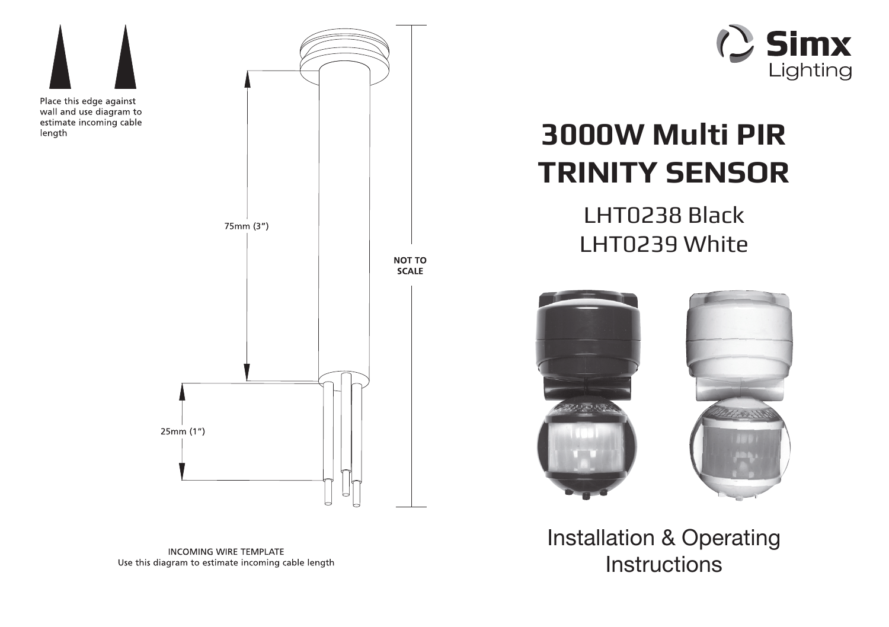



# **3000W Multi PIR TRINITY SENSOR**

LHT0238 BlackLHT0239 White



Installation & Operating **Instructions**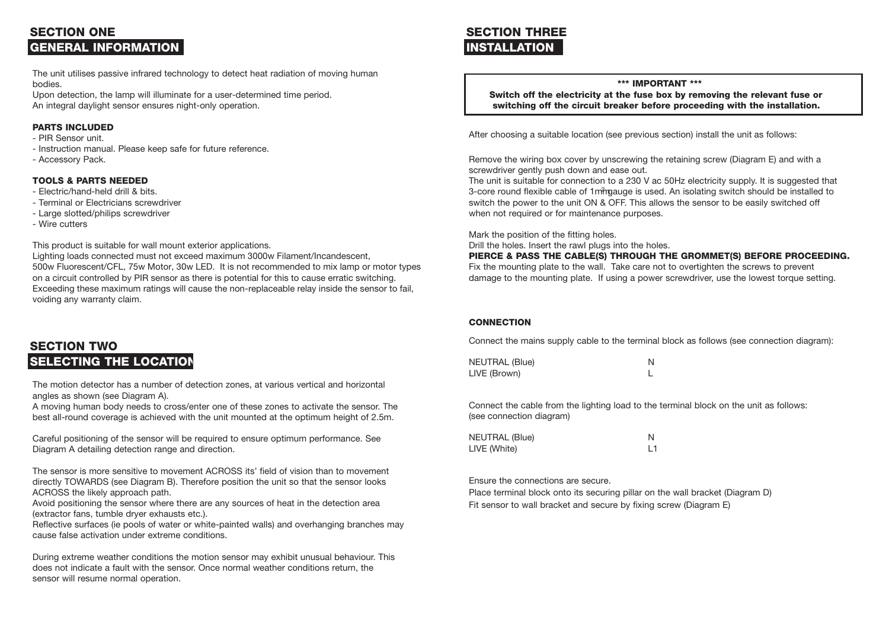# **SECTION ONEGENERAL INFORMATION**

The unit utilises passive infrared technology to detect heat radiation of moving human bodies.

Upon detection, the lamp will illuminate for a user-determined time period. An integral daylight sensor ensures night-only operation.

## **PARTS INCLUDED**

- PIR Sensor unit.
- Instruction manual. Please keep safe for future reference.
- Accessory Pack.

#### **TOOLS & PARTS NEEDED**

- Electric/hand-held drill & bits.
- Terminal or Electricians screwdriver
- Large slotted/philips screwdriver
- Wire cutters

This product is suitable for wall mount exterior applications.

Lighting loads connected must not exceed maximum 3000w Filament/Incandescent, 500w Fluorescent/CFL, 75w Motor, 30w LED. It is not recommended to mix lamp or motor types on a circuit controlled by PIR sensor as there is potential for this to cause erratic switching. Exceeding these maximum ratings will cause the non-replaceable relay inside the sensor to fail, voiding any warranty claim.

# **SECTION TWOSELECTING THE LOCATION**

The motion detector has a number of detection zones, at various vertical and horizontal angles as shown (see Diagram A).

A moving human body needs to cross/enter one of these zones to activate the sensor. The best all-round coverage is achieved with the unit mounted at the optimum height of 2.5m.

Careful positioning of the sensor will be required to ensure optimum performance. See Diagram A detailing detection range and direction.

The sensor is more sensitive to movement ACROSS its' field of vision than to movement directly TOWARDS (see Diagram B). Therefore position the unit so that the sensor looks ACROSS the likely approach path.

Avoid positioning the sensor where there are any sources of heat in the detection area (extractor fans, tumble dryer exhausts etc.).

Reflective surfaces (ie pools of water or white-painted walls) and overhanging branches may cause false activation under extreme conditions.

During extreme weather conditions the motion sensor may exhibit unusual behaviour. This does not indicate a fault with the sensor. Once normal weather conditions return, the sensor will resume normal operation.

# **SECTION THREEINSTALLATION**

## **\*\*\* IMPORTANT \*\*\***

 **Switch off the electricity at the fuse box by removing the relevant fuse or switching off the circuit breaker before proceeding with the installation.**

After choosing a suitable location (see previous section) install the unit as follows:

Remove the wiring box cover by unscrewing the retaining screw (Diagram E) and with a screwdriver gently push down and ease out.

The unit is suitable for connection to a 230 V ac 50Hz electricity supply. It is suggested that 3-core round flexible cable of 1mmgauge is used. An isolating switch should be installed to switch the power to the unit ON & OFF. This allows the sensor to be easily switched off when not required or for maintenance purposes.

Mark the position of the fitting holes.

Drill the holes. Insert the rawl plugs into the holes.

**PIERCE & PASS THE CABLE(S) THROUGH THE GROMMET(S) BEFORE PROCEEDING.**

Fix the mounting plate to the wall. Take care not to overtighten the screws to prevent damage to the mounting plate. If using a power screwdriver, use the lowest torque setting.

#### **CONNECTION**

Connect the mains supply cable to the terminal block as follows (see connection diagram):

NEUTRAL (Blue) N LIVE (Brown) L

Connect the cable from the lighting load to the terminal block on the unit as follows: (see connection diagram)

| NEUTRAL (Blue) |  |
|----------------|--|
| LIVE (White)   |  |

Ensure the connections are secure.

Place terminal block onto its securing pillar on the wall bracket (Diagram D) Fit sensor to wall bracket and secure by fixing screw (Diagram E)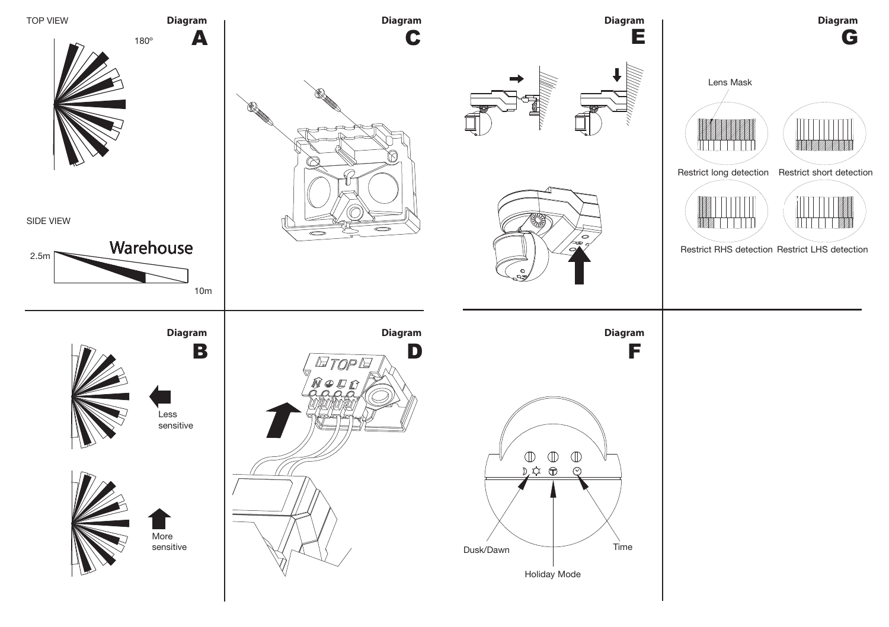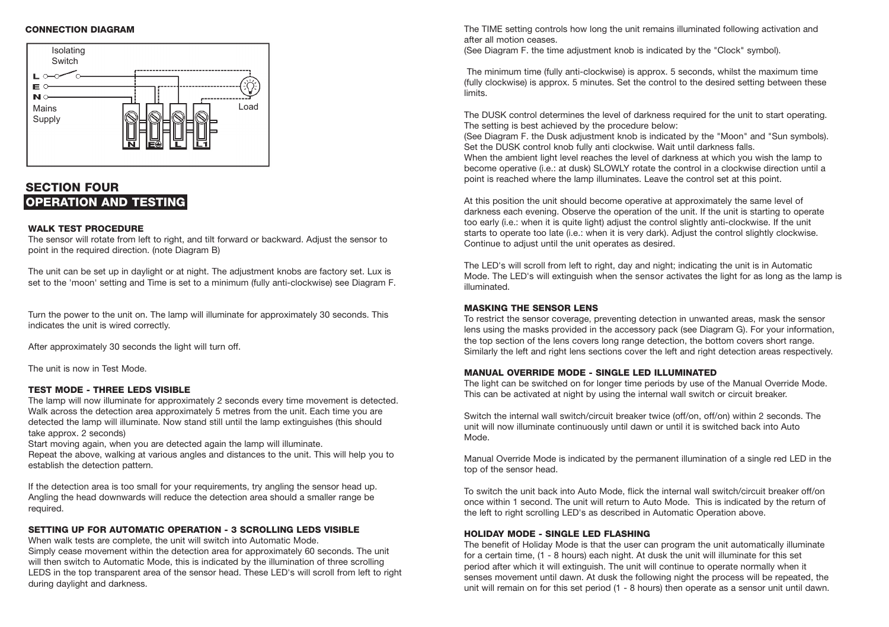### **CONNECTION DIAGRAM**



# **SECTION FOUROPERATION AND TESTING**

#### **WALK TEST PROCEDURE**

 The sensor will rotate from left to right, and tilt forward or backward. Adjust the sensor to point in the required direction. (note Diagram B)

The unit can be set up in daylight or at night. The adjustment knobs are factory set. Lux is set to the 'moon' setting and Time is set to a minimum (fully anti-clockwise) see Diagram F.

Turn the power to the unit on. The lamp will illuminate for approximately 30 seconds. This indicates the unit is wired correctly.

After approximately 30 seconds the light will turn off.

The unit is now in Test Mode.

## **TEST MODE - THREE LEDS VISIBLE**

 The lamp will now illuminate for approximately 2 seconds every time movement is detected. Walk across the detection area approximately 5 metres from the unit. Each time you are detected the lamp will illuminate. Now stand still until the lamp extinguishes (this should take approx. 2 seconds)

Start moving again, when you are detected again the lamp will illuminate.

Repeat the above, walking at various angles and distances to the unit. This will help you to establish the detection pattern.

If the detection area is too small for your requirements, try angling the sensor head up. Angling the head downwards will reduce the detection area should a smaller range be required.

## **SETTING UP FOR AUTOMATIC OPERATION - 3 SCROLLING LEDS VISIBLE**

When walk tests are complete, the unit will switch into Automatic Mode.

Simply cease movement within the detection area for approximately 60 seconds. The unit will then switch to Automatic Mode, this is indicated by the illumination of three scrolling LEDS in the top transparent area of the sensor head. These LED's will scroll from left to right during daylight and darkness.

The TIME setting controls how long the unit remains illuminated following activation and after all motion ceases.

(See Diagram F. the time adjustment knob is indicated by the "Clock" symbol).

 The minimum time (fully anti-clockwise) is approx. 5 seconds, whilst the maximum time (fully clockwise) is approx. 5 minutes. Set the control to the desired setting between these limits.

The DUSK control determines the level of darkness required for the unit to start operating. The setting is best achieved by the procedure below:

(See Diagram F. the Dusk adjustment knob is indicated by the "Moon" and "Sun symbols). Set the DUSK control knob fully anti clockwise. Wait until darkness falls.

When the ambient light level reaches the level of darkness at which you wish the lamp to become operative (i.e.: at dusk) SLOWLY rotate the control in a clockwise direction until a point is reached where the lamp illuminates. Leave the control set at this point.

At this position the unit should become operative at approximately the same level of darkness each evening. Observe the operation of the unit. If the unit is starting to operate too early (i.e.: when it is quite light) adjust the control slightly anti-clockwise. If the unit starts to operate too late (i.e.: when it is very dark). Adjust the control slightly clockwise. Continue to adjust until the unit operates as desired.

The LED's will scroll from left to right, day and night; indicating the unit is in Automatic Mode. The LED's will extinguish when the sensor activates the light for as long as the lamp is illuminated.

#### **MASKING THE SENSOR LENS**

To restrict the sensor coverage, preventing detection in unwanted areas, mask the sensor lens using the masks provided in the accessory pack (see Diagram G). For your information, the top section of the lens covers long range detection, the bottom covers short range. Similarly the left and right lens sections cover the left and right detection areas respectively.

#### **MANUAL OVERRIDE MODE - SINGLE LED ILLUMINATED**

The light can be switched on for longer time periods by use of the Manual Override Mode. This can be activated at night by using the internal wall switch or circuit breaker.

Switch the internal wall switch/circuit breaker twice (off/on, off/on) within 2 seconds. The unit will now illuminate continuously until dawn or until it is switched back into Auto Mode.

Manual Override Mode is indicated by the permanent illumination of a single red LED in the top of the sensor head.

To switch the unit back into Auto Mode, flick the internal wall switch/circuit breaker off/on once within 1 second. The unit will return to Auto Mode. This is indicated by the return of the left to right scrolling LED's as described in Automatic Operation above.

#### **HOLIDAY MODE - SINGLE LED FLASHING**

 The benefit of Holiday Mode is that the user can program the unit automatically illuminate for a certain time, (1 - 8 hours) each night. At dusk the unit will illuminate for this set period after which it will extinguish. The unit will continue to operate normally when it senses movement until dawn. At dusk the following night the process will be repeated, the unit will remain on for this set period (1 - 8 hours) then operate as a sensor unit until dawn.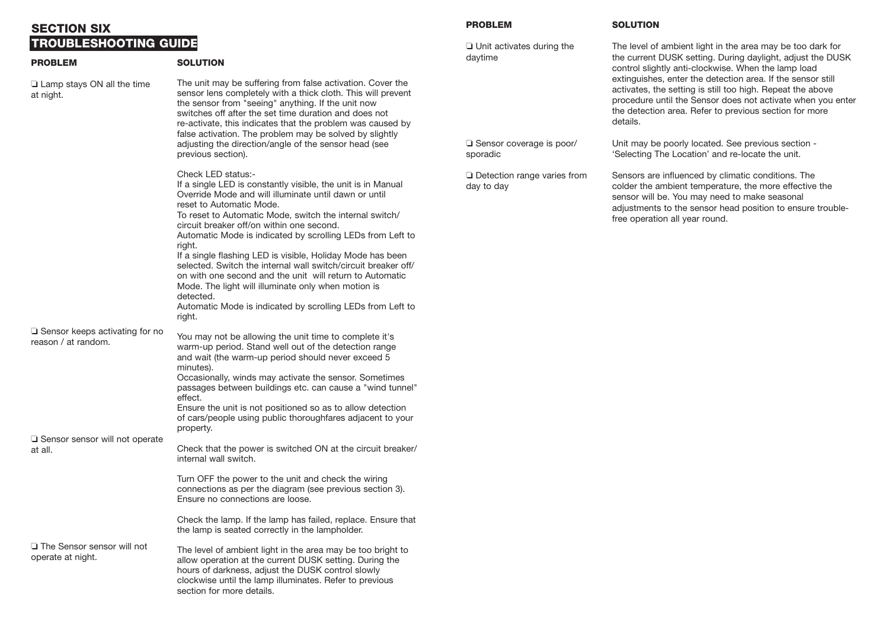# **SECTION SIXTROUBLESHOOTING GUIDE**

| <b>PROBLEM</b>                                                  | <b>SOLUTION</b>                                                                                                                                                                                                                                                                                                                                                                                                                                                                                                                                                                                                                                                                                 |                                                  |
|-----------------------------------------------------------------|-------------------------------------------------------------------------------------------------------------------------------------------------------------------------------------------------------------------------------------------------------------------------------------------------------------------------------------------------------------------------------------------------------------------------------------------------------------------------------------------------------------------------------------------------------------------------------------------------------------------------------------------------------------------------------------------------|--------------------------------------------------|
| $\Box$ Lamp stays ON all the time<br>at night.                  | The unit may be suffering from false activation. Cover the<br>sensor lens completely with a thick cloth. This will prevent<br>the sensor from "seeing" anything. If the unit now<br>switches off after the set time duration and does not<br>re-activate, this indicates that the problem was caused by<br>false activation. The problem may be solved by slightly<br>adjusting the direction/angle of the sensor head (see<br>previous section).                                                                                                                                                                                                                                               | $\Box$ Sensor coverage is poor/<br>sporadic      |
|                                                                 | Check LED status:-<br>If a single LED is constantly visible, the unit is in Manual<br>Override Mode and will illuminate until dawn or until<br>reset to Automatic Mode.<br>To reset to Automatic Mode, switch the internal switch/<br>circuit breaker off/on within one second.<br>Automatic Mode is indicated by scrolling LEDs from Left to<br>right.<br>If a single flashing LED is visible, Holiday Mode has been<br>selected. Switch the internal wall switch/circuit breaker off/<br>on with one second and the unit will return to Automatic<br>Mode. The light will illuminate only when motion is<br>detected.<br>Automatic Mode is indicated by scrolling LEDs from Left to<br>right. | $\Box$ Detection range varies from<br>day to day |
| $\square$ Sensor keeps activating for no<br>reason / at random. | You may not be allowing the unit time to complete it's<br>warm-up period. Stand well out of the detection range<br>and wait (the warm-up period should never exceed 5<br>minutes).<br>Occasionally, winds may activate the sensor. Sometimes<br>passages between buildings etc. can cause a "wind tunnel"<br>effect.<br>Ensure the unit is not positioned so as to allow detection<br>of cars/people using public thoroughfares adjacent to your<br>property.                                                                                                                                                                                                                                   |                                                  |
| □ Sensor sensor will not operate<br>at all.                     | Check that the power is switched ON at the circuit breaker/<br>internal wall switch.<br>Turn OFF the power to the unit and check the wiring<br>connections as per the diagram (see previous section 3).<br>Ensure no connections are loose.                                                                                                                                                                                                                                                                                                                                                                                                                                                     |                                                  |
| □ The Sensor sensor will not<br>operate at night.               | Check the lamp. If the lamp has failed, replace. Ensure that<br>the lamp is seated correctly in the lampholder.<br>The level of ambient light in the area may be too bright to<br>allow operation at the current DUSK setting. During the<br>hours of darkness, adjust the DUSK control slowly<br>clockwise until the lamp illuminates. Refer to previous<br>section for more details.                                                                                                                                                                                                                                                                                                          |                                                  |

## **PROBLEM**

❏ Unit activates during the daytime

The level of ambient light in the area may be too dark for the current DUSK setting. During daylight, adjust the DUSK control slightly anti-clockwise. When the lamp load extinguishes, enter the detection area. If the sensor still activates, the setting is still too high. Repeat the above procedure until the Sensor does not activate when you enter the detection area. Refer to previous section for more details.

Unit may be poorly located. See previous section - 'Selecting The Location' and re-locate the unit.

**SOLUTION**

Sensors are influenced by climatic conditions. The colder the ambient temperature, the more effective the sensor will be. You may need to make seasonal adjustments to the sensor head position to ensure troublefree operation all year round.